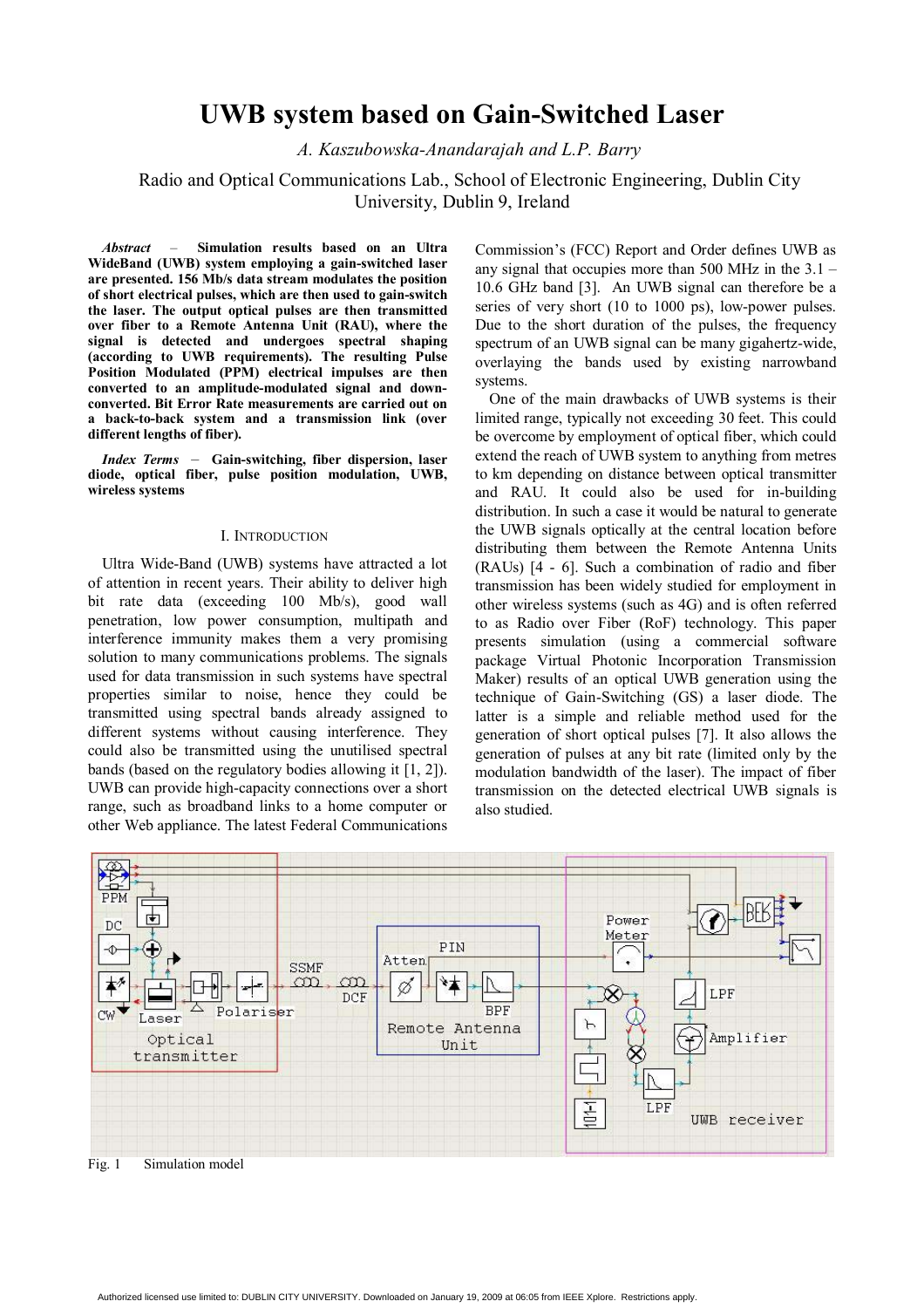# **UWB system based on Gain-Switched Laser**

*A. Kaszubowska-Anandarajah and L.P. Barry* 

Radio and Optical Communications Lab., School of Electronic Engineering, Dublin City University, Dublin 9, Ireland

*Abstract* –**Simulation results based on an Ultra WideBand (UWB) system employing a gain-switched laser are presented. 156 Mb/s data stream modulates the position of short electrical pulses, which are then used to gain-switch the laser. The output optical pulses are then transmitted over fiber to a Remote Antenna Unit (RAU), where the signal is detected and undergoes spectral shaping (according to UWB requirements). The resulting Pulse Position Modulated (PPM) electrical impulses are then converted to an amplitude-modulated signal and downconverted. Bit Error Rate measurements are carried out on a back-to-back system and a transmission link (over different lengths of fiber).** 

*Index Terms* –**Gain-switching, fiber dispersion, laser diode, optical fiber, pulse position modulation, UWB, wireless systems**

#### I. INTRODUCTION

Ultra Wide-Band (UWB) systems have attracted a lot of attention in recent years. Their ability to deliver high bit rate data (exceeding 100 Mb/s), good wall penetration, low power consumption, multipath and interference immunity makes them a very promising solution to many communications problems. The signals used for data transmission in such systems have spectral properties similar to noise, hence they could be transmitted using spectral bands already assigned to different systems without causing interference. They could also be transmitted using the unutilised spectral bands (based on the regulatory bodies allowing it [1, 2]). UWB can provide high-capacity connections over a short range, such as broadband links to a home computer or other Web appliance. The latest Federal Communications

Commission's (FCC) Report and Order defines UWB as any signal that occupies more than 500 MHz in the 3.1 – 10.6 GHz band [3]. An UWB signal can therefore be a series of very short (10 to 1000 ps), low-power pulses. Due to the short duration of the pulses, the frequency spectrum of an UWB signal can be many gigahertz-wide, overlaying the bands used by existing narrowband systems.

One of the main drawbacks of UWB systems is their limited range, typically not exceeding 30 feet. This could be overcome by employment of optical fiber, which could extend the reach of UWB system to anything from metres to km depending on distance between optical transmitter and RAU. It could also be used for in-building distribution. In such a case it would be natural to generate the UWB signals optically at the central location before distributing them between the Remote Antenna Units (RAUs) [4 - 6]. Such a combination of radio and fiber transmission has been widely studied for employment in other wireless systems (such as 4G) and is often referred to as Radio over Fiber (RoF) technology. This paper presents simulation (using a commercial software package Virtual Photonic Incorporation Transmission Maker) results of an optical UWB generation using the technique of Gain-Switching (GS) a laser diode. The latter is a simple and reliable method used for the generation of short optical pulses [7]. It also allows the generation of pulses at any bit rate (limited only by the modulation bandwidth of the laser). The impact of fiber transmission on the detected electrical UWB signals is also studied.



Fig. 1 Simulation model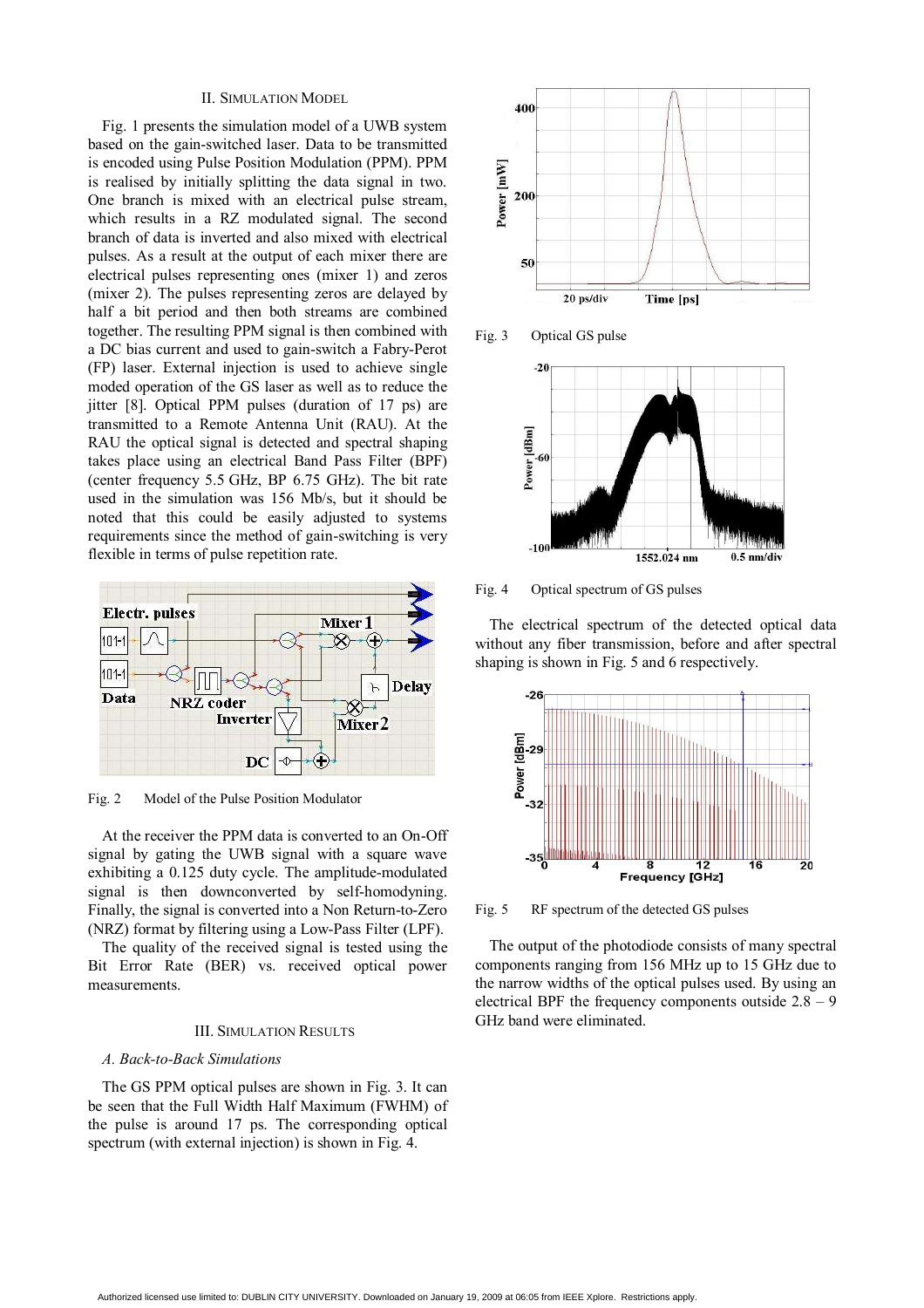## II. SIMULATION MODEL

Fig. 1 presents the simulation model of a UWB system based on the gain-switched laser. Data to be transmitted is encoded using Pulse Position Modulation (PPM). PPM is realised by initially splitting the data signal in two. One branch is mixed with an electrical pulse stream, which results in a RZ modulated signal. The second branch of data is inverted and also mixed with electrical pulses. As a result at the output of each mixer there are electrical pulses representing ones (mixer 1) and zeros (mixer 2). The pulses representing zeros are delayed by half a bit period and then both streams are combined together. The resulting PPM signal is then combined with a DC bias current and used to gain-switch a Fabry-Perot (FP) laser. External injection is used to achieve single moded operation of the GS laser as well as to reduce the iitter [8]. Optical PPM pulses (duration of 17 ps) are transmitted to a Remote Antenna Unit (RAU). At the RAU the optical signal is detected and spectral shaping takes place using an electrical Band Pass Filter (BPF) (center frequency 5.5 GHz, BP 6.75 GHz). The bit rate used in the simulation was 156 Mb/s, but it should be noted that this could be easily adjusted to systems requirements since the method of gain-switching is very flexible in terms of pulse repetition rate.



Fig. 2 Model of the Pulse Position Modulator

At the receiver the PPM data is converted to an On-Off signal by gating the UWB signal with a square wave exhibiting a 0.125 duty cycle. The amplitude-modulated signal is then downconverted by self-homodyning. Finally, the signal is converted into a Non Return-to-Zero (NRZ) format by filtering using a Low-Pass Filter (LPF).

The quality of the received signal is tested using the Bit Error Rate (BER) vs. received optical power measurements.

## III. SIMULATION RESULTS

#### *A. Back-to-Back Simulations*

The GS PPM optical pulses are shown in Fig. 3. It can be seen that the Full Width Half Maximum (FWHM) of the pulse is around 17 ps. The corresponding optical spectrum (with external injection) is shown in Fig. 4.



Fig. 3 Optical GS pulse



Fig. 4 Optical spectrum of GS pulses

The electrical spectrum of the detected optical data without any fiber transmission, before and after spectral shaping is shown in Fig. 5 and 6 respectively.



Fig. 5 RF spectrum of the detected GS pulses

The output of the photodiode consists of many spectral components ranging from 156 MHz up to 15 GHz due to the narrow widths of the optical pulses used. By using an electrical BPF the frequency components outside  $2.8 - 9$ GHz band were eliminated.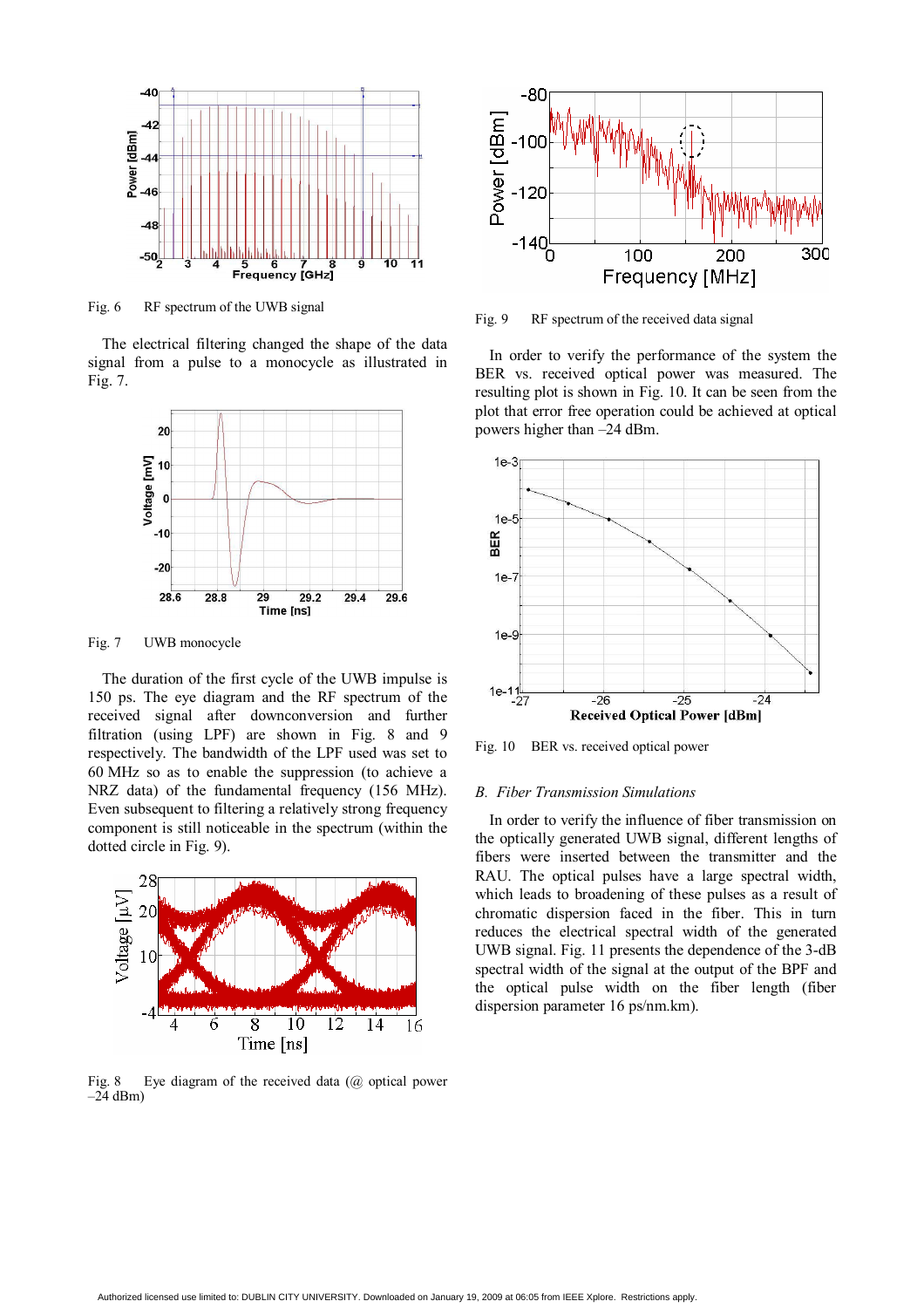

Fig. 6 RF spectrum of the UWB signal

The electrical filtering changed the shape of the data signal from a pulse to a monocycle as illustrated in Fig. 7.



Fig. 7 UWB monocycle

The duration of the first cycle of the UWB impulse is 150 ps. The eye diagram and the RF spectrum of the received signal after downconversion and further filtration (using LPF) are shown in Fig. 8 and 9 respectively. The bandwidth of the LPF used was set to 60 MHz so as to enable the suppression (to achieve a NRZ data) of the fundamental frequency (156 MHz). Even subsequent to filtering a relatively strong frequency component is still noticeable in the spectrum (within the dotted circle in Fig. 9).



Fig. 8 Eye diagram of the received data  $(a)$  optical power  $-24$  dBm)



Fig. 9 RF spectrum of the received data signal

In order to verify the performance of the system the BER vs. received optical power was measured. The resulting plot is shown in Fig. 10. It can be seen from the plot that error free operation could be achieved at optical powers higher than –24 dBm.



Fig. 10 BER vs. received optical power

#### *B. Fiber Transmission Simulations*

In order to verify the influence of fiber transmission on the optically generated UWB signal, different lengths of fibers were inserted between the transmitter and the RAU. The optical pulses have a large spectral width, which leads to broadening of these pulses as a result of chromatic dispersion faced in the fiber. This in turn reduces the electrical spectral width of the generated UWB signal. Fig. 11 presents the dependence of the 3-dB spectral width of the signal at the output of the BPF and the optical pulse width on the fiber length (fiber dispersion parameter 16 ps/nm.km).